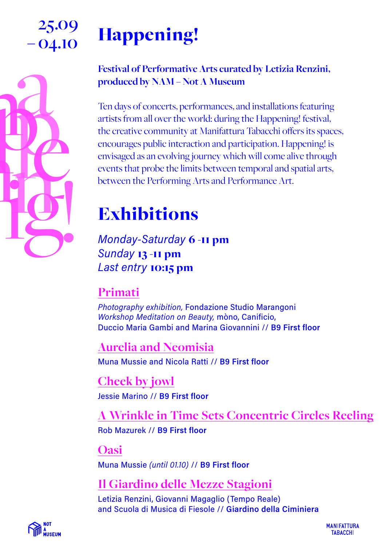



#### **Festival of Performative Arts curated by Letizia Renzini, produced by NAM – Not A Museum**

Ten days of concerts, performances, and installations featuring artists from all over the world: during the Happening! festival, the creative community at Manifattura Tabacchi offers its spaces, encourages public interaction and participation. Happening! is envisaged as an evolving journey which will come alive through events that probe the limits between temporal and spatial arts, between the Performing Arts and Performance Art.

## **Exhibitions**

*Monday-Saturday* 6 -11 pm *Sunday* 13 -11 pm *Last entry* 10:15 pm

## **[Primati](https://www.manifatturatabacchi.com/en/eventi/happening-primati-mostra-fotografica/)**

*Photography exhibition,* Fondazione Studio Marangoni *Workshop Meditation on Beauty,* mòno, Canificio, Duccio Maria Gambi and Marina Giovannini // **B9 First floor**

## **[Aurelia and Neomisia](https://www.manifatturatabacchi.com/en/eventi/happening-aurelia-e-neomisia/)**

Muna Mussie and Nicola Ratti // **B9 First floor**

**[Cheek by jowl](https://www.manifatturatabacchi.com/en/eventi/happening-cheek-by-jowl/)** Jessie Marino // **B9 First floor**

## **[A Wrinkle in Time Sets Concentric Circles Reeling](https://www.manifatturatabacchi.com/en/eventi/happening-a-wrinkle-in-time-sets-concentric-circles-reeling-2/)**

Rob Mazurek // **B9 First floor**

### **[Oasi](https://www.manifatturatabacchi.com/en/eventi/happening-oasi/)**

Muna Mussie *(until 01.10)* // **B9 First floor**

## **[Il Giardino delle Mezze Stagioni](https://www.manifatturatabacchi.com/en/eventi/happening-il-giardino-delle-mezze-stagioni/)**

Letizia Renzini, Giovanni Magaglio (Tempo Reale) and Scuola di Musica di Fiesole // **Giardino della Ciminiera**

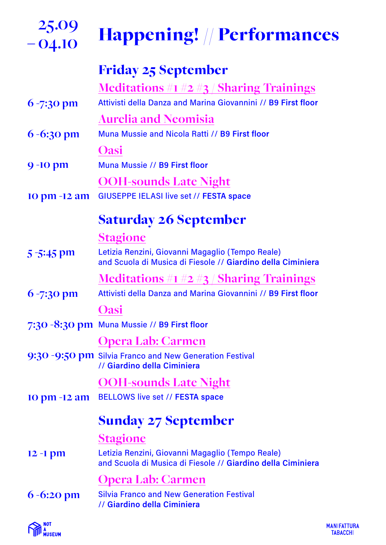| $25.09$<br>-04.10 | <b>Happening! // Performances</b>                                                                               |
|-------------------|-----------------------------------------------------------------------------------------------------------------|
|                   | <b>Friday 25 September</b>                                                                                      |
|                   | <b>Meditations</b> #1 $#2 #3$ / <b>Sharing Trainings</b>                                                        |
| $6 - 7:30$ pm     | Attivisti della Danza and Marina Giovannini // B9 First floor                                                   |
|                   | <b>Aurelia and Neomisia</b>                                                                                     |
| $6 - 6:30$ pm     | Muna Mussie and Nicola Ratti // B9 First floor                                                                  |
|                   | <b>Oasi</b>                                                                                                     |
| 9 - 10 pm         | Muna Mussie // B9 First floor                                                                                   |
|                   | <b>OOH-sounds Late Night</b>                                                                                    |
| 10 pm -12 am      | <b>GIUSEPPE IELASI live set // FESTA space</b>                                                                  |
|                   | <b>Saturday 26 September</b>                                                                                    |
|                   | <b>Stagione</b>                                                                                                 |
| $5 - 5:45$ pm     | Letizia Renzini, Giovanni Magaglio (Tempo Reale)<br>and Scuola di Musica di Fiesole // Giardino della Ciminiera |
|                   | <b>Meditations</b> #1 $#2 #3$ / <b>Sharing Trainings</b>                                                        |
| $6 - 7:30$ pm     | Attivisti della Danza and Marina Giovannini // B9 First floor                                                   |
|                   | Jasi                                                                                                            |
|                   | $7:30 - 8:30$ pm Muna Mussie // B9 First floor                                                                  |
|                   | <b>Opera Lab: Carmen</b>                                                                                        |
|                   | 9:30 -9:50 pm Silvia Franco and New Generation Festival<br>// Giardino della Ciminiera                          |
|                   | <b>OOH-sounds Late Night</b>                                                                                    |
| 10 pm -12 am      | <b>BELLOWS live set // FESTA space</b>                                                                          |
|                   | <b>Sunday 27 September</b>                                                                                      |
|                   | <b>Stagione</b>                                                                                                 |
| $12 - 1$ pm       | Letizia Renzini, Giovanni Magaglio (Tempo Reale)<br>and Scuola di Musica di Fiesole // Giardino della Ciminiera |
|                   | <u> Opera Lab: Carmen</u>                                                                                       |
| $6 - 6:20$ pm     | <b>Silvia Franco and New Generation Festival</b><br>// Giardino della Ciminiera                                 |
|                   |                                                                                                                 |

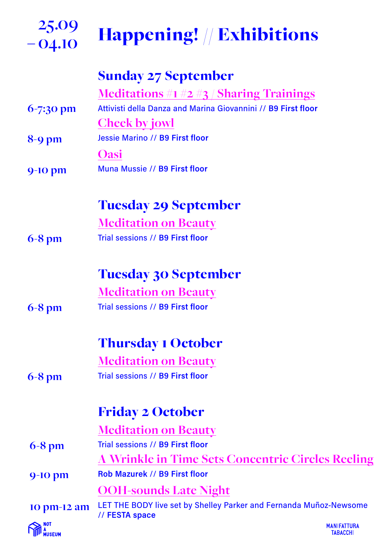| $25.09$<br>-04.10 | <b>Happening!</b> // Exhibitions                                                     |
|-------------------|--------------------------------------------------------------------------------------|
|                   | <b>Sunday 27 September</b>                                                           |
|                   | <b>Meditations #1 #2 #3 / Sharing Trainings</b>                                      |
| $6 - 7:30$ pm     | Attivisti della Danza and Marina Giovannini // B9 First floor                        |
|                   | <b>Cheek by jowl</b>                                                                 |
| $8-9$ pm          | Jessie Marino // B9 First floor                                                      |
|                   | <b>Oasi</b>                                                                          |
| 9-10 pm           | Muna Mussie // B9 First floor                                                        |
|                   | <b>Tuesday 29 September</b>                                                          |
|                   | <b>Meditation on Beauty</b>                                                          |
| $6-8$ pm          | Trial sessions // B9 First floor                                                     |
|                   | <b>Tuesday 30 September</b>                                                          |
|                   | <b>Meditation on Beauty</b>                                                          |
| 6-8 pm            | Trial sessions // B9 First floor                                                     |
|                   | <b>Thursday 1 October</b>                                                            |
|                   | <b>Meditation on Beauty</b>                                                          |
| $6-8$ pm          | Trial sessions // B9 First floor                                                     |
|                   |                                                                                      |
|                   | <b>Friday 2 October</b>                                                              |
|                   | <b>Meditation on Beauty</b>                                                          |
| $6-8$ pm          | Trial sessions // B9 First floor                                                     |
|                   | <u>A Wrinkle in Time Sets Concentric Circles Reeling</u>                             |
| 9-10 pm           | Rob Mazurek // B9 First floor                                                        |
|                   | <b>OOH-sounds Late Night</b>                                                         |
| 10 pm-12 am       | LET THE BODY live set by Shelley Parker and Fernanda Muñoz-Newsome<br>// FESTA space |
| $\sum_{M}$ NOT    | <b>MANIFATTURA</b>                                                                   |



**TABACCHI**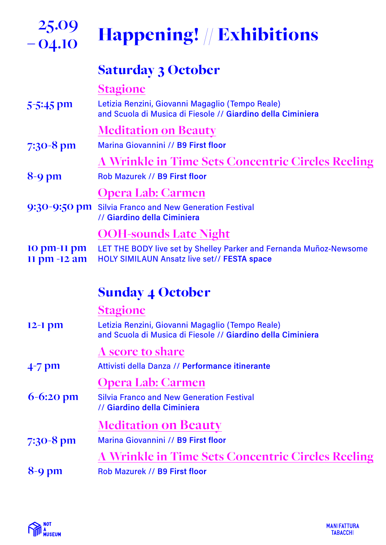| $\frac{25.09}{-04.10}$      | <b>Happening!</b> // Exhibitions                                                                                                                         |
|-----------------------------|----------------------------------------------------------------------------------------------------------------------------------------------------------|
|                             | <b>Saturday 3 October</b>                                                                                                                                |
| $5 - 5:45$ pm               | <b>Stagione</b><br>Letizia Renzini, Giovanni Magaglio (Tempo Reale)<br>and Scuola di Musica di Fiesole // Giardino della Ciminiera                       |
| $7:30-8$ pm                 | <b>Meditation on Beauty</b><br>Marina Giovannini // B9 First floor                                                                                       |
| $8-9$ pm                    | A Wrinkle in Time Sets Concentric Circles Reeling<br>Rob Mazurek // B9 First floor                                                                       |
|                             | <b>Opera Lab: Carmen</b><br>9:30-9:50 pm Silvia Franco and New Generation Festival<br>// Giardino della Ciminiera                                        |
| 10 pm-11 pm<br>11 pm -12 am | <b>OOH-sounds Late Night</b><br>LET THE BODY live set by Shelley Parker and Fernanda Muñoz-Newsome<br><b>HOLY SIMILAUN Ansatz live set// FESTA space</b> |
|                             | <b>Sunday 4 October</b>                                                                                                                                  |
| $12-1$ pm                   | <b>Stagione</b><br>Letizia Renzini, Giovanni Magaglio (Tempo Reale)<br>and Scuola di Musica di Fiesole // Giardino della Ciminiera                       |
| $4-7$ pm                    | A score to share<br>Attivisti della Danza // Performance itinerante                                                                                      |
| $6 - 6:20$ pm               | <b>Opera Lab: Carmen</b><br><b>Silvia Franco and New Generation Festival</b><br>// Giardino della Ciminiera                                              |
| $7:30-8 \text{ pm}$         | <b>Meditation on Beauty</b><br>Marina Giovannini // B9 First floor                                                                                       |
| $8-9$ pm                    | <b>A Wrinkle in Time Sets Concentric Circles Reeling</b><br>Rob Mazurek // B9 First floor                                                                |